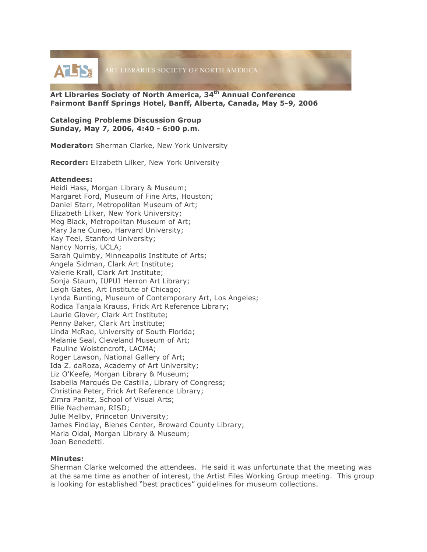**ATIS:** ART LIBRARIES SOCIETY OF NORTH AMERICA

**Art Libraries Society of North America, 34th Annual Conference Fairmont Banff Springs Hotel, Banff, Alberta, Canada, May 5-9, 2006**

**Cataloging Problems Discussion Group Sunday, May 7, 2006, 4:40 - 6:00 p.m.**

**Moderator:** Sherman Clarke, New York University

**Recorder:** Elizabeth Lilker, New York University

## **Attendees:**

Heidi Hass, Morgan Library & Museum; Margaret Ford, Museum of Fine Arts, Houston; Daniel Starr, Metropolitan Museum of Art; Elizabeth Lilker, New York University; Meg Black, Metropolitan Museum of Art; Mary Jane Cuneo, Harvard University; Kay Teel, Stanford University; Nancy Norris, UCLA; Sarah Quimby, Minneapolis Institute of Arts; Angela Sidman, Clark Art Institute; Valerie Krall, Clark Art Institute; Sonja Staum, IUPUI Herron Art Library; Leigh Gates, Art Institute of Chicago; Lynda Bunting, Museum of Contemporary Art, Los Angeles; Rodica Tanjala Krauss, Frick Art Reference Library; Laurie Glover, Clark Art Institute; Penny Baker, Clark Art Institute; Linda McRae, University of South Florida; Melanie Seal, Cleveland Museum of Art; Pauline Wolstencroft, LACMA; Roger Lawson, National Gallery of Art; Ida Z. daRoza, Academy of Art University; Liz O'Keefe, Morgan Library & Museum; Isabella Marqués De Castilla, Library of Congress; Christina Peter, Frick Art Reference Library; Zimra Panitz, School of Visual Arts; Ellie Nacheman, RISD; Julie Mellby, Princeton University; James Findlay, Bienes Center, Broward County Library; Maria Oldal, Morgan Library & Museum; Joan Benedetti.

## **Minutes:**

Sherman Clarke welcomed the attendees. He said it was unfortunate that the meeting was at the same time as another of interest, the Artist Files Working Group meeting. This group is looking for established "best practices" guidelines for museum collections.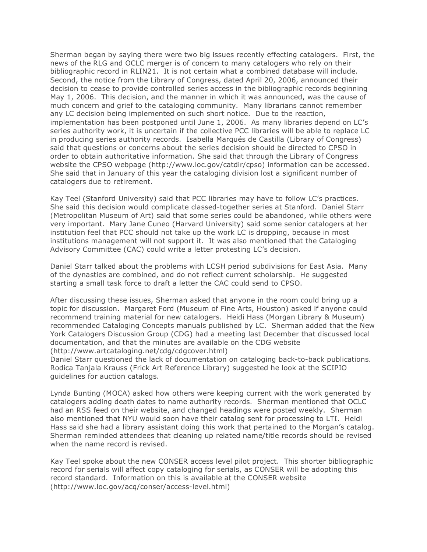Sherman began by saying there were two big issues recently effecting catalogers. First, the news of the RLG and OCLC merger is of concern to many catalogers who rely on their bibliographic record in RLIN21. It is not certain what a combined database will include. Second, the notice from the Library of Congress, dated April 20, 2006, announced their decision to cease to provide controlled series access in the bibliographic records beginning May 1, 2006. This decision, and the manner in which it was announced, was the cause of much concern and grief to the cataloging community. Many librarians cannot remember any LC decision being implemented on such short notice. Due to the reaction, implementation has been postponed until June 1, 2006. As many libraries depend on LC's series authority work, it is uncertain if the collective PCC libraries will be able to replace LC in producing series authority records. Isabella Marqués de Castilla (Library of Congress) said that questions or concerns about the series decision should be directed to CPSO in order to obtain authoritative information. She said that through the Library of Congress website the CPSO webpage (http://www.loc.gov/catdir/cpso) information can be accessed. She said that in January of this year the cataloging division lost a significant number of catalogers due to retirement.

Kay Teel (Stanford University) said that PCC libraries may have to follow LC's practices. She said this decision would complicate classed-together series at Stanford. Daniel Starr (Metropolitan Museum of Art) said that some series could be abandoned, while others were very important. Mary Jane Cuneo (Harvard University) said some senior catalogers at her institution feel that PCC should not take up the work LC is dropping, because in most institutions management will not support it. It was also mentioned that the Cataloging Advisory Committee (CAC) could write a letter protesting LC's decision.

Daniel Starr talked about the problems with LCSH period subdivisions for East Asia. Many of the dynasties are combined, and do not reflect current scholarship. He suggested starting a small task force to draft a letter the CAC could send to CPSO.

After discussing these issues, Sherman asked that anyone in the room could bring up a topic for discussion. Margaret Ford (Museum of Fine Arts, Houston) asked if anyone could recommend training material for new catalogers. Heidi Hass (Morgan Library & Museum) recommended Cataloging Concepts manuals published by LC. Sherman added that the New York Catalogers Discussion Group (CDG) had a meeting last December that discussed local documentation, and that the minutes are available on the CDG website (http://www.artcataloging.net/cdg/cdgcover.html)

Daniel Starr questioned the lack of documentation on cataloging back-to-back publications. Rodica Tanjala Krauss (Frick Art Reference Library) suggested he look at the SCIPIO guidelines for auction catalogs.

Lynda Bunting (MOCA) asked how others were keeping current with the work generated by catalogers adding death dates to name authority records. Sherman mentioned that OCLC had an RSS feed on their website, and changed headings were posted weekly. Sherman also mentioned that NYU would soon have their catalog sent for processing to LTI. Heidi Hass said she had a library assistant doing this work that pertained to the Morgan's catalog. Sherman reminded attendees that cleaning up related name/title records should be revised when the name record is revised.

Kay Teel spoke about the new CONSER access level pilot project. This shorter bibliographic record for serials will affect copy cataloging for serials, as CONSER will be adopting this record standard. Information on this is available at the CONSER website (http://www.loc.gov/acq/conser/access-level.html)